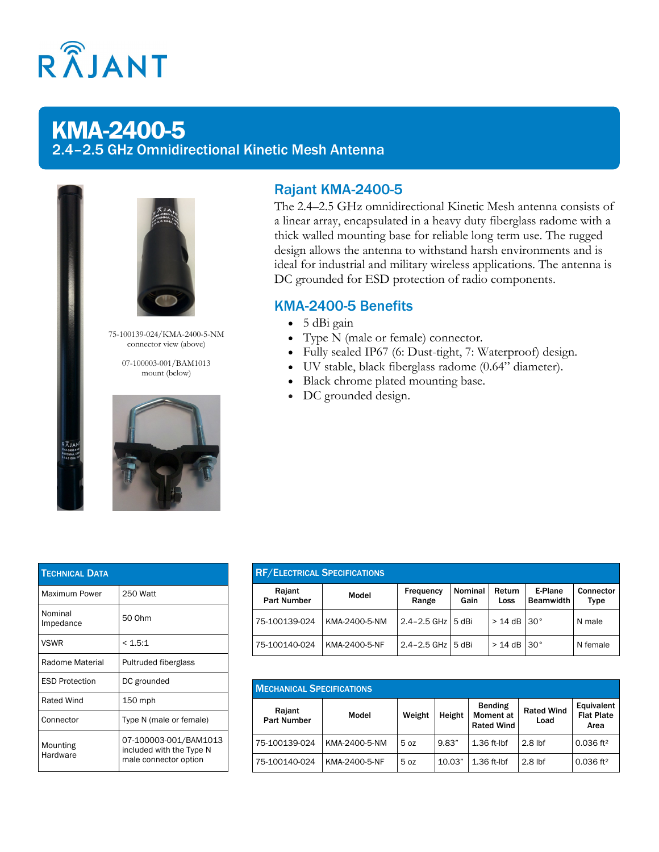

# KMA-2400-5 2.4–2.5 GHz Omnidirectional Kinetic Mesh Antenna





75-100139-024/KMA-2400-5-NM connector view (above)

> 07-100003-001/BAM1013 mount (below)



## Rajant KMA-2400-5

The 2.4–2.5 GHz omnidirectional Kinetic Mesh antenna consists of a linear array, encapsulated in a heavy duty fiberglass radome with a thick walled mounting base for reliable long term use. The rugged design allows the antenna to withstand harsh environments and is ideal for industrial and military wireless applications. The antenna is DC grounded for ESD protection of radio components.

### KMA-2400-5 Benefits

- 5 dBi gain
- Type N (male or female) connector.
- Fully sealed IP67 (6: Dust-tight, 7: Waterproof) design.
- UV stable, black fiberglass radome (0.64" diameter).
- Black chrome plated mounting base.
- DC grounded design.

| <b>TECHNICAL DATA</b> |                                                                            |
|-----------------------|----------------------------------------------------------------------------|
| Maximum Power         | 250 Watt                                                                   |
| Nominal<br>Impedance  | 50 Ohm                                                                     |
| <b>VSWR</b>           | < 1.5:1                                                                    |
| Radome Material       | Pultruded fiberglass                                                       |
| <b>ESD Protection</b> | DC grounded                                                                |
| <b>Rated Wind</b>     | 150 mph                                                                    |
| Connector             | Type N (male or female)                                                    |
| Mounting<br>Hardware  | 07-100003-001/BAM1013<br>included with the Type N<br>male connector option |

| <b>RF/ELECTRICAL SPECIFICATIONS</b> |               |                    |                 |                |                             |                   |  |  |  |
|-------------------------------------|---------------|--------------------|-----------------|----------------|-----------------------------|-------------------|--|--|--|
| Rajant<br><b>Part Number</b>        | Model         | Frequency<br>Range | Nominal<br>Gain | Return<br>Loss | E-Plane<br><b>Beamwidth</b> | Connector<br>Type |  |  |  |
| 75-100139-024                       | KMA-2400-5-NM | $2.4 - 2.5$ GHz    | 5 dBi           | $>$ 14 dB      | $30^{\circ}$                | N male            |  |  |  |
| 75-100140-024                       | KMA-2400-5-NF | $2.4 - 2.5$ GHz    | 5 dBi           | $> 14$ dB      | $30^{\circ}$                | N female          |  |  |  |

| <b>MECHANICAL SPECIFICATIONS</b> |               |                 |        |                                                         |                           |                                         |  |  |  |
|----------------------------------|---------------|-----------------|--------|---------------------------------------------------------|---------------------------|-----------------------------------------|--|--|--|
| Rajant<br><b>Part Number</b>     | Model         | Weight          | Height | <b>Bending</b><br><b>Moment</b> at<br><b>Rated Wind</b> | <b>Rated Wind</b><br>Load | Equivalent<br><b>Flat Plate</b><br>Area |  |  |  |
| 75-100139-024                    | KMA-2400-5-NM | 5 <sub>oz</sub> | 9.83"  | $1.36$ ft-lbf                                           | $2.8$ lbf                 | $0.036$ ft <sup>2</sup>                 |  |  |  |
| 75-100140-024                    | KMA-2400-5-NF | 5 <sub>oz</sub> | 10.03" | $1.36$ ft-lbf                                           | $2.8$ lbf                 | $0.036$ ft <sup>2</sup>                 |  |  |  |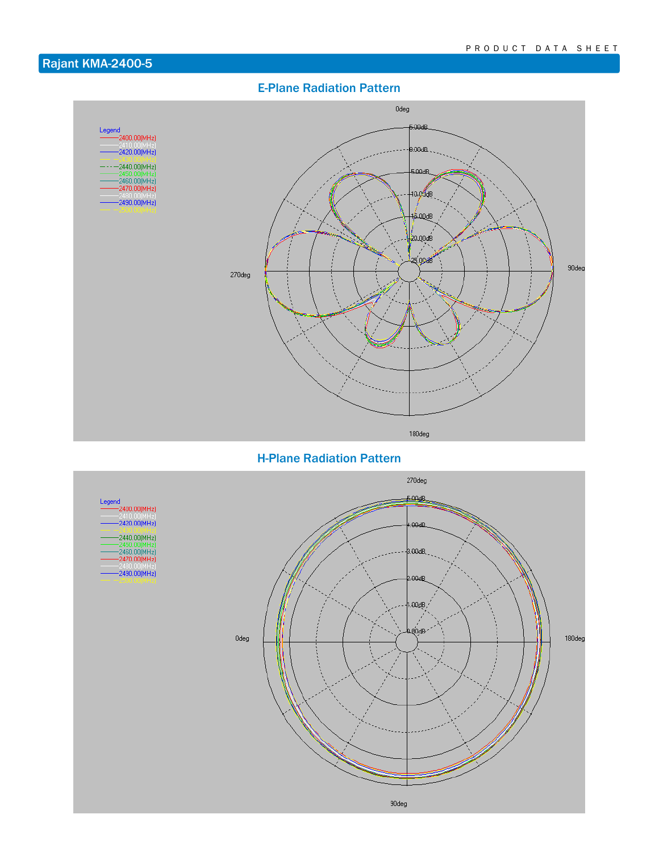# Rajant KMA-2400-5

### E-Plane Radiation Pattern